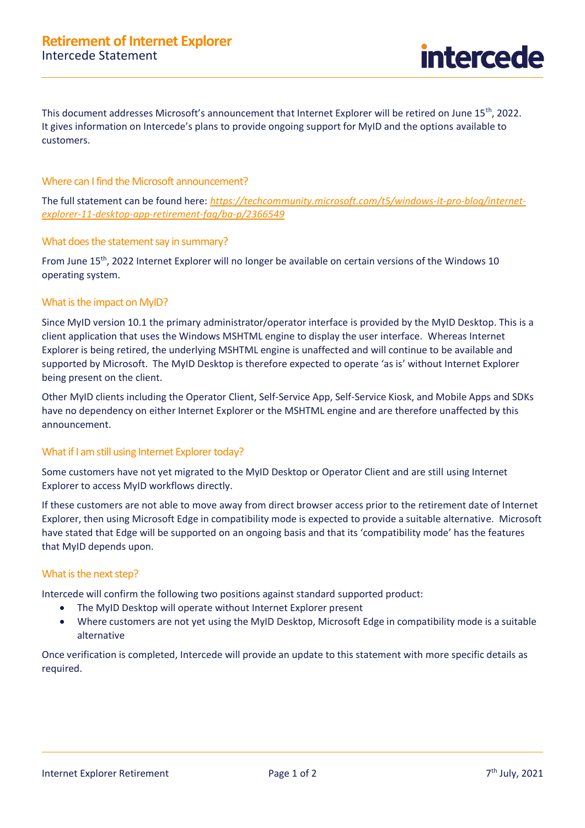This document addresses Microsoft's announcement that Internet Explorer will be retired on June 15<sup>th</sup>, 2022. It gives information on Intercede's plans to provide ongoing support for MyID and the options available to customers.

### Where can I find the Microsoft announcement?

The full statement can be found here: *[https://techcommunity.microsoft.com/t5/windows-it-pro-blog/internet](https://techcommunity.microsoft.com/t5/windows-it-pro-blog/internet-explorer-11-desktop-app-retirement-faq/ba-p/2366549)[explorer-11-desktop-app-retirement-faq/ba-p/2366549](https://techcommunity.microsoft.com/t5/windows-it-pro-blog/internet-explorer-11-desktop-app-retirement-faq/ba-p/2366549)*

### What does the statement say in summary?

From June 15<sup>th</sup>, 2022 Internet Explorer will no longer be available on certain versions of the Windows 10 operating system.

# What is the impact on MyID?

Since MyID version 10.1 the primary administrator/operator interface is provided by the MyID Desktop. This is a client application that uses the Windows MSHTML engine to display the user interface. Whereas Internet Explorer is being retired, the underlying MSHTML engine is unaffected and will continue to be available and supported by Microsoft. The MyID Desktop is therefore expected to operate 'as is' without Internet Explorer being present on the client.

Other MyID clients including the Operator Client, Self-Service App, Self-Service Kiosk, and Mobile Apps and SDKs have no dependency on either Internet Explorer or the MSHTML engine and are therefore unaffected by this announcement.

# What if I am still using Internet Explorer today?

Some customers have not yet migrated to the MyID Desktop or Operator Client and are still using Internet Explorer to access MyID workflows directly.

If these customers are not able to move away from direct browser access prior to the retirement date of Internet Explorer, then using Microsoft Edge in compatibility mode is expected to provide a suitable alternative. Microsoft have stated that Edge will be supported on an ongoing basis and that its 'compatibility mode' has the features that MyID depends upon.

### What is the next step?

Intercede will confirm the following two positions against standard supported product:

- The MyID Desktop will operate without Internet Explorer present
- Where customers are not yet using the MyID Desktop, Microsoft Edge in compatibility mode is a suitable alternative

Once verification is completed, Intercede will provide an update to this statement with more specific details as required.